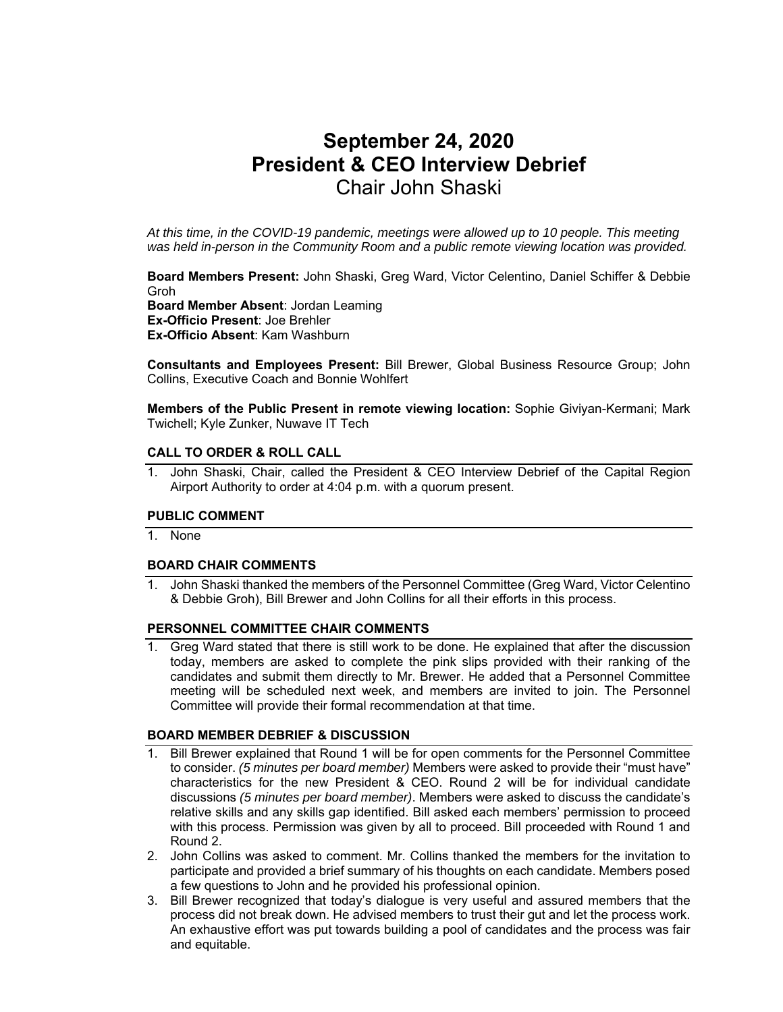# **September 24, 2020 President & CEO Interview Debrief**  Chair John Shaski

*At this time, in the COVID-19 pandemic, meetings were allowed up to 10 people. This meeting was held in-person in the Community Room and a public remote viewing location was provided.* 

**Board Members Present:** John Shaski, Greg Ward, Victor Celentino, Daniel Schiffer & Debbie Groh **Board Member Absent**: Jordan Leaming **Ex-Officio Present**: Joe Brehler **Ex-Officio Absent**: Kam Washburn

**Consultants and Employees Present:** Bill Brewer, Global Business Resource Group; John Collins, Executive Coach and Bonnie Wohlfert

**Members of the Public Present in remote viewing location:** Sophie Giviyan-Kermani; Mark Twichell; Kyle Zunker, Nuwave IT Tech

### **CALL TO ORDER & ROLL CALL**

1. John Shaski, Chair, called the President & CEO Interview Debrief of the Capital Region Airport Authority to order at 4:04 p.m. with a quorum present.

#### **PUBLIC COMMENT**

1. None

#### **BOARD CHAIR COMMENTS**

1. John Shaski thanked the members of the Personnel Committee (Greg Ward, Victor Celentino & Debbie Groh), Bill Brewer and John Collins for all their efforts in this process.

#### **PERSONNEL COMMITTEE CHAIR COMMENTS**

1. Greg Ward stated that there is still work to be done. He explained that after the discussion today, members are asked to complete the pink slips provided with their ranking of the candidates and submit them directly to Mr. Brewer. He added that a Personnel Committee meeting will be scheduled next week, and members are invited to join. The Personnel Committee will provide their formal recommendation at that time.

#### **BOARD MEMBER DEBRIEF & DISCUSSION**

- 1. Bill Brewer explained that Round 1 will be for open comments for the Personnel Committee to consider. *(5 minutes per board member)* Members were asked to provide their "must have" characteristics for the new President & CEO. Round 2 will be for individual candidate discussions *(5 minutes per board member)*. Members were asked to discuss the candidate's relative skills and any skills gap identified. Bill asked each members' permission to proceed with this process. Permission was given by all to proceed. Bill proceeded with Round 1 and Round 2.
- 2. John Collins was asked to comment. Mr. Collins thanked the members for the invitation to participate and provided a brief summary of his thoughts on each candidate. Members posed a few questions to John and he provided his professional opinion.
- 3. Bill Brewer recognized that today's dialogue is very useful and assured members that the process did not break down. He advised members to trust their gut and let the process work. An exhaustive effort was put towards building a pool of candidates and the process was fair and equitable.